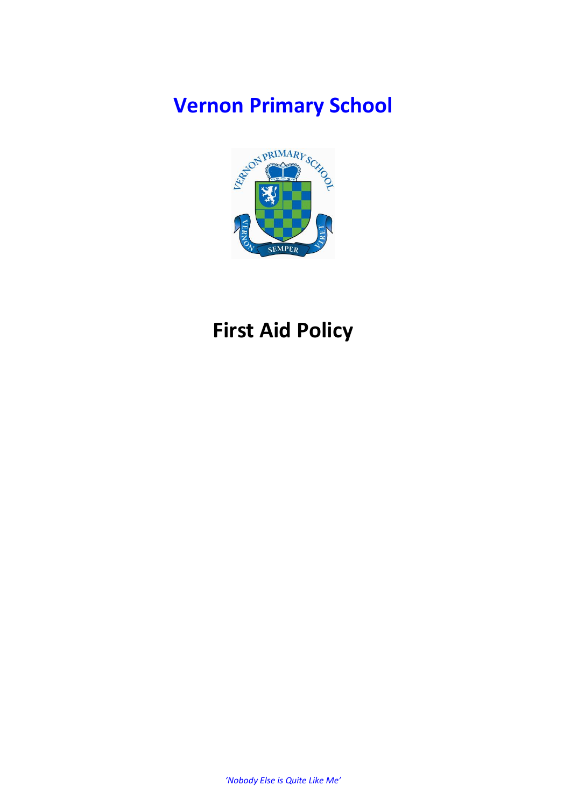# **Vernon Primary School**



# **First Aid Policy**

*'Nobody Else is Quite Like Me'*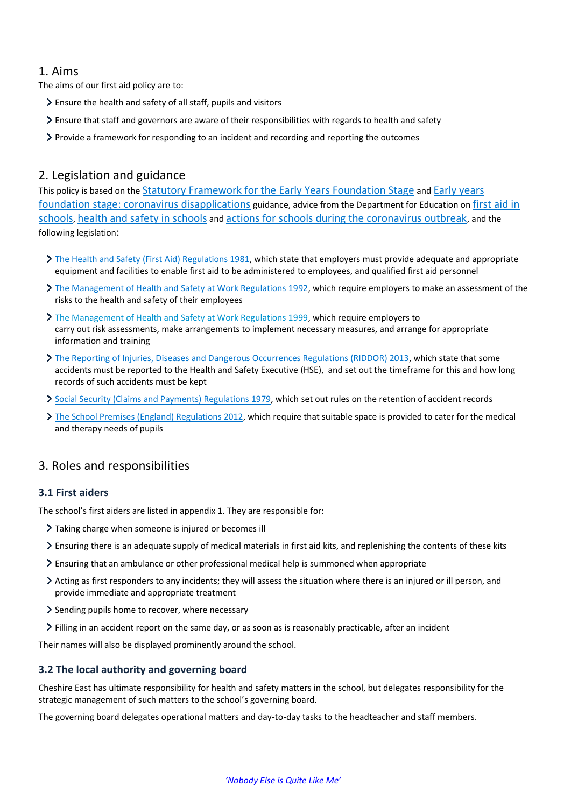#### 1. Aims

The aims of our first aid policy are to:

- Ensure the health and safety of all staff, pupils and visitors
- Ensure that staff and governors are aware of their responsibilities with regards to health and safety
- Provide a framework for responding to an incident and recording and reporting the outcomes

## 2. Legislation and guidance

This policy is based on the [Statutory Framework for the Early Years Foundation Stage](https://www.gov.uk/government/publications/early-years-foundation-stage-framework--2) and [Early years](https://www.gov.uk/government/publications/early-years-foundation-stage-framework--2/early-years-foundation-stage-coronavirus-disapplications)  [foundation stage: coronavirus disapplications](https://www.gov.uk/government/publications/early-years-foundation-stage-framework--2/early-years-foundation-stage-coronavirus-disapplications) guidance, advice from the Department for Education on [first aid in](https://www.gov.uk/government/publications/first-aid-in-schools)  [schools](https://www.gov.uk/government/publications/first-aid-in-schools), [health and safety in schools](https://www.gov.uk/government/publications/health-and-safety-advice-for-schools) and [actions for schools during the coronavirus outbreak](https://www.gov.uk/government/publications/actions-for-schools-during-the-coronavirus-outbreak), and the following legislation:

- > [The Health and Safety \(First Aid\) Regulations 1981,](http://www.legislation.gov.uk/uksi/1981/917/regulation/3/made) which state that employers must provide adequate and appropriate equipment and facilities to enable first aid to be administered to employees, and qualified first aid personnel
- > [The Management of Health and Safety at Work Regulations 1992,](http://www.legislation.gov.uk/uksi/1992/2051/regulation/3/made) which require employers to make an assessment of the risks to the health and safety of their employees
- [The Management of Health and Safety at Work Regulations 1999,](http://www.legislation.gov.uk/uksi/1999/3242/contents/made) which require employers to carry out risk assessments, make arrangements to implement necessary measures, and arrange for appropriate information and training
- [The Reporting of Injuries, Diseases and Dangerous Occurrences Regulations \(RIDDOR\) 2013,](http://www.legislation.gov.uk/uksi/2013/1471/schedule/1/paragraph/1/made) which state that some accidents must be reported to the Health and Safety Executive (HSE), and set out the timeframe for this and how long records of such accidents must be kept
- [Social Security \(Claims and Payments\) Regulations 1979,](http://www.legislation.gov.uk/uksi/1979/628) which set out rules on the retention of accident records
- [The School Premises \(England\) Regulations 2012,](http://www.legislation.gov.uk/uksi/2012/1943/regulation/5/made) which require that suitable space is provided to cater for the medical and therapy needs of pupils

## 3. Roles and responsibilities

#### **3.1 First aiders**

The school's first aiders are listed in appendix 1. They are responsible for:

- Taking charge when someone is injured or becomes ill
- Ensuring there is an adequate supply of medical materials in first aid kits, and replenishing the contents of these kits
- Ensuring that an ambulance or other professional medical help is summoned when appropriate
- Acting as first responders to any incidents; they will assess the situation where there is an injured or ill person, and provide immediate and appropriate treatment
- Sending pupils home to recover, where necessary
- Filling in an accident report on the same day, or as soon as is reasonably practicable, after an incident

Their names will also be displayed prominently around the school.

#### **3.2 The local authority and governing board**

Cheshire East has ultimate responsibility for health and safety matters in the school, but delegates responsibility for the strategic management of such matters to the school's governing board.

The governing board delegates operational matters and day-to-day tasks to the headteacher and staff members.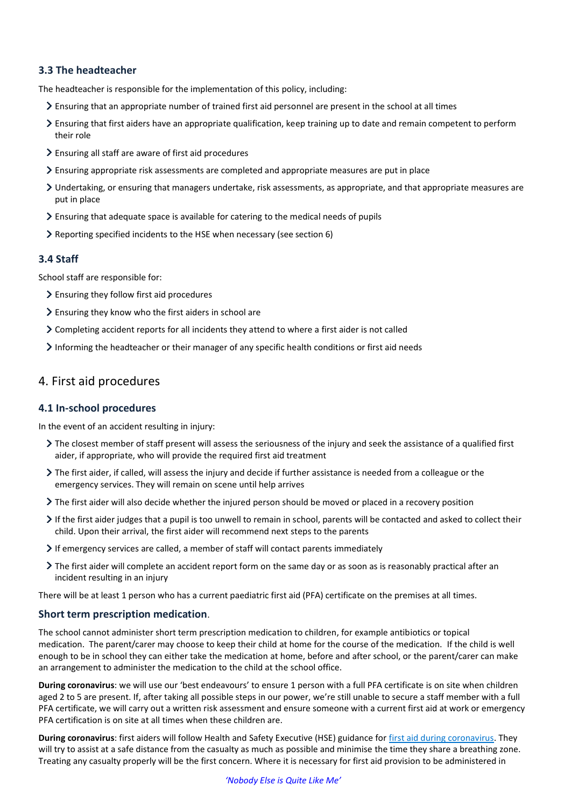#### **3.3 The headteacher**

The headteacher is responsible for the implementation of this policy, including:

- Ensuring that an appropriate number of trained first aid personnel are present in the school at all times
- $\geq$  Ensuring that first aiders have an appropriate qualification, keep training up to date and remain competent to perform their role
- Ensuring all staff are aware of first aid procedures
- Ensuring appropriate risk assessments are completed and appropriate measures are put in place
- Undertaking, or ensuring that managers undertake, risk assessments, as appropriate, and that appropriate measures are put in place
- $\geq$  Ensuring that adequate space is available for catering to the medical needs of pupils
- Reporting specified incidents to the HSE when necessary (see section 6)

#### **3.4 Staff**

School staff are responsible for:

- Ensuring they follow first aid procedures
- Ensuring they know who the first aiders in school are
- Completing accident reports for all incidents they attend to where a first aider is not called
- Informing the headteacher or their manager of any specific health conditions or first aid needs

#### 4. First aid procedures

#### **4.1 In-school procedures**

In the event of an accident resulting in injury:

- The closest member of staff present will assess the seriousness of the injury and seek the assistance of a qualified first aider, if appropriate, who will provide the required first aid treatment
- The first aider, if called, will assess the injury and decide if further assistance is needed from a colleague or the emergency services. They will remain on scene until help arrives
- The first aider will also decide whether the injured person should be moved or placed in a recovery position
- If the first aider judges that a pupil is too unwell to remain in school, parents will be contacted and asked to collect their child. Upon their arrival, the first aider will recommend next steps to the parents
- If emergency services are called, a member of staff will contact parents immediately
- The first aider will complete an accident report form on the same day or as soon as is reasonably practical after an incident resulting in an injury

There will be at least 1 person who has a current paediatric first aid (PFA) certificate on the premises at all times.

#### **Short term prescription medication**.

The school cannot administer short term prescription medication to children, for example antibiotics or topical medication. The parent/carer may choose to keep their child at home for the course of the medication. If the child is well enough to be in school they can either take the medication at home, before and after school, or the parent/carer can make an arrangement to administer the medication to the child at the school office.

**During coronavirus**: we will use our 'best endeavours' to ensure 1 person with a full PFA certificate is on site when children aged 2 to 5 are present. If, after taking all possible steps in our power, we're still unable to secure a staff member with a full PFA certificate, we will carry out a written risk assessment and ensure someone with a current first aid at work or emergency PFA certification is on site at all times when these children are.

**During coronavirus**: first aiders will follow Health and Safety Executive (HSE) guidance for [first aid during coronavirus.](https://www.hse.gov.uk/coronavirus/first-aid-and-medicals/first-aid-certificate-coronavirus.htm) They will try to assist at a safe distance from the casualty as much as possible and minimise the time they share a breathing zone. Treating any casualty properly will be the first concern. Where it is necessary for first aid provision to be administered in

*'Nobody Else is Quite Like Me'*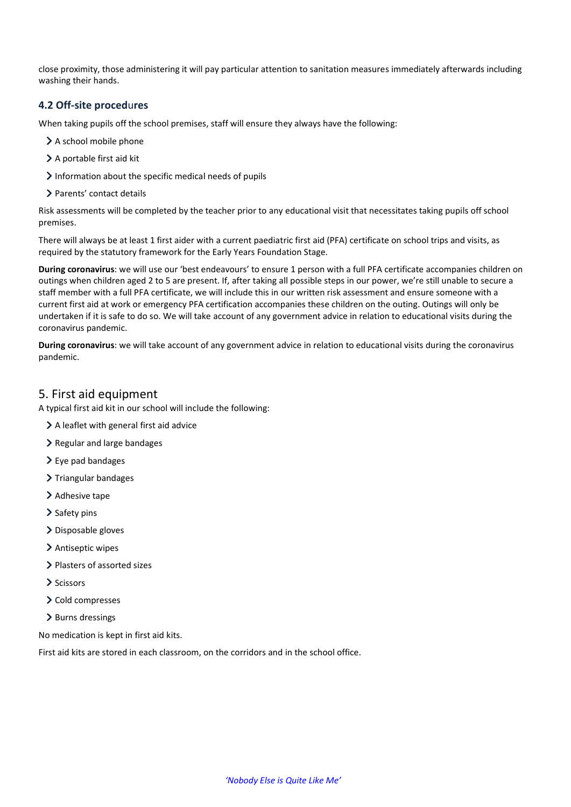close proximity, those administering it will pay particular attention to sanitation measures immediately afterwards including washing their hands.

#### **4.2 Off-site proced**u**res**

When taking pupils off the school premises, staff will ensure they always have the following:

- > A school mobile phone
- > A portable first aid kit
- $\geq$  Information about the specific medical needs of pupils
- > Parents' contact details

Risk assessments will be completed by the teacher prior to any educational visit that necessitates taking pupils off school premises.

There will always be at least 1 first aider with a current paediatric first aid (PFA) certificate on school trips and visits, as required by the statutory framework for the Early Years Foundation Stage.

**During coronavirus**: we will use our 'best endeavours' to ensure 1 person with a full PFA certificate accompanies children on outings when children aged 2 to 5 are present. If, after taking all possible steps in our power, we're still unable to secure a staff member with a full PFA certificate, we will include this in our written risk assessment and ensure someone with a current first aid at work or emergency PFA certification accompanies these children on the outing. Outings will only be undertaken if it is safe to do so. We will take account of any government advice in relation to educational visits during the coronavirus pandemic.

**During coronavirus**: we will take account of any government advice in relation to educational visits during the coronavirus pandemic.

#### 5. First aid equipment

A typical first aid kit in our school will include the following:

- A leaflet with general first aid advice
- > Regular and large bandages
- $\geq$  Eve pad bandages
- $\sum$  Triangular bandages
- > Adhesive tape
- > Safety pins
- > Disposable gloves
- > Antiseptic wipes
- > Plasters of assorted sizes
- > Scissors
- > Cold compresses
- $\geq$  Burns dressings

No medication is kept in first aid kits.

First aid kits are stored in each classroom, on the corridors and in the school office.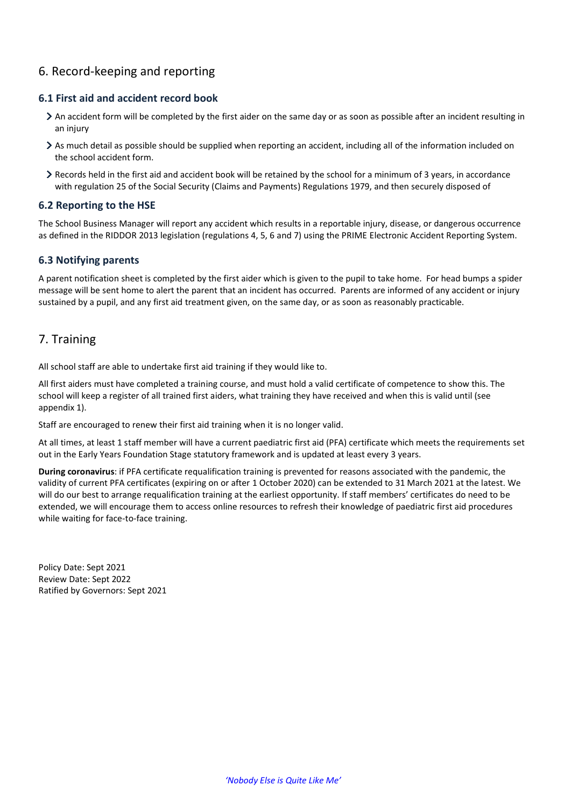# 6. Record-keeping and reporting

#### **6.1 First aid and accident record book**

- An accident form will be completed by the first aider on the same day or as soon as possible after an incident resulting in an injury
- As much detail as possible should be supplied when reporting an accident, including all of the information included on the school accident form.
- Records held in the first aid and accident book will be retained by the school for a minimum of 3 years, in accordance with regulation 25 of the Social Security (Claims and Payments) Regulations 1979, and then securely disposed of

#### **6.2 Reporting to the HSE**

The School Business Manager will report any accident which results in a reportable injury, disease, or dangerous occurrence as defined in the RIDDOR 2013 legislation (regulations 4, 5, 6 and 7) using the PRIME Electronic Accident Reporting System.

#### **6.3 Notifying parents**

A parent notification sheet is completed by the first aider which is given to the pupil to take home. For head bumps a spider message will be sent home to alert the parent that an incident has occurred. Parents are informed of any accident or injury sustained by a pupil, and any first aid treatment given, on the same day, or as soon as reasonably practicable.

## 7. Training

All school staff are able to undertake first aid training if they would like to.

All first aiders must have completed a training course, and must hold a valid certificate of competence to show this. The school will keep a register of all trained first aiders, what training they have received and when this is valid until (see appendix 1).

Staff are encouraged to renew their first aid training when it is no longer valid.

At all times, at least 1 staff member will have a current paediatric first aid (PFA) certificate which meets the requirements set out in the Early Years Foundation Stage statutory framework and is updated at least every 3 years.

**During coronavirus**: if PFA certificate requalification training is prevented for reasons associated with the pandemic, the validity of current PFA certificates (expiring on or after 1 October 2020) can be extended to 31 March 2021 at the latest. We will do our best to arrange requalification training at the earliest opportunity. If staff members' certificates do need to be extended, we will encourage them to access online resources to refresh their knowledge of paediatric first aid procedures while waiting for face-to-face training.

Policy Date: Sept 2021 Review Date: Sept 2022 Ratified by Governors: Sept 2021